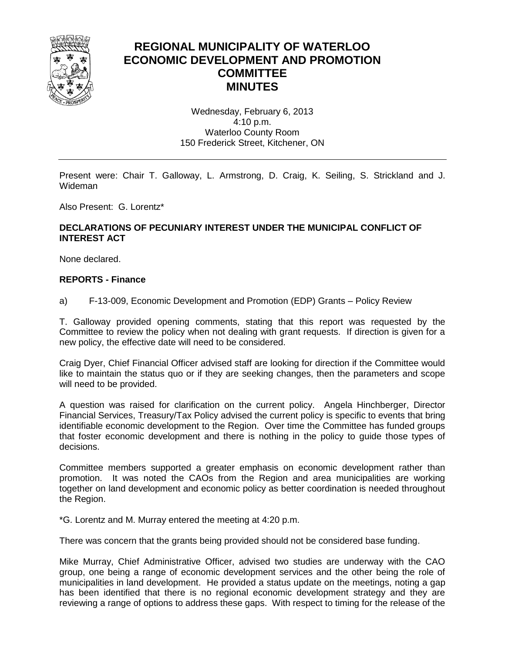

## **REGIONAL MUNICIPALITY OF WATERLOO ECONOMIC DEVELOPMENT AND PROMOTION COMMITTEE MINUTES**

Wednesday, February 6, 2013 4:10 p.m. Waterloo County Room 150 Frederick Street, Kitchener, ON

Present were: Chair T. Galloway, L. Armstrong, D. Craig, K. Seiling, S. Strickland and J. Wideman

Also Present: G. Lorentz\*

## **DECLARATIONS OF PECUNIARY INTEREST UNDER THE MUNICIPAL CONFLICT OF INTEREST ACT**

None declared.

## **REPORTS - Finance**

a) F-13-009, Economic Development and Promotion (EDP) Grants – Policy Review

T. Galloway provided opening comments, stating that this report was requested by the Committee to review the policy when not dealing with grant requests. If direction is given for a new policy, the effective date will need to be considered.

Craig Dyer, Chief Financial Officer advised staff are looking for direction if the Committee would like to maintain the status quo or if they are seeking changes, then the parameters and scope will need to be provided.

A question was raised for clarification on the current policy. Angela Hinchberger, Director Financial Services, Treasury/Tax Policy advised the current policy is specific to events that bring identifiable economic development to the Region. Over time the Committee has funded groups that foster economic development and there is nothing in the policy to guide those types of decisions.

Committee members supported a greater emphasis on economic development rather than promotion. It was noted the CAOs from the Region and area municipalities are working together on land development and economic policy as better coordination is needed throughout the Region.

\*G. Lorentz and M. Murray entered the meeting at 4:20 p.m.

There was concern that the grants being provided should not be considered base funding.

Mike Murray, Chief Administrative Officer, advised two studies are underway with the CAO group, one being a range of economic development services and the other being the role of municipalities in land development. He provided a status update on the meetings, noting a gap has been identified that there is no regional economic development strategy and they are reviewing a range of options to address these gaps. With respect to timing for the release of the